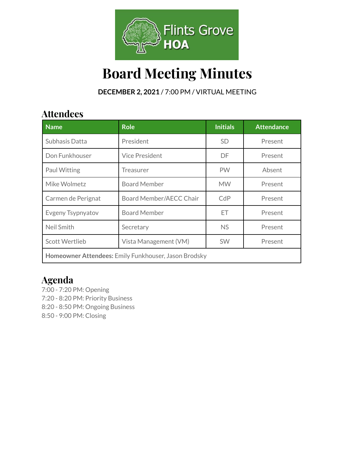

# **Board Meeting Minutes**

**DECEMBER 2, 2021** / 7:00 PM / VIRTUAL MEETING

## **Attendees**

| <b>Name</b>                                          | <b>Role</b>             | <b>Initials</b> | <b>Attendance</b> |  |
|------------------------------------------------------|-------------------------|-----------------|-------------------|--|
| Subhasis Datta                                       | President               | <b>SD</b>       | Present           |  |
| Don Funkhouser                                       | <b>Vice President</b>   | DF.             | Present           |  |
| <b>Paul Witting</b>                                  | <b>Treasurer</b>        | <b>PW</b>       | Absent            |  |
| Mike Wolmetz                                         | <b>Board Member</b>     | <b>MW</b>       | Present           |  |
| Carmen de Perignat                                   | Board Member/AECC Chair | CdP             | Present           |  |
| Evgeny Tsypnyatov                                    | <b>Board Member</b>     | ЕT              | Present           |  |
| Neil Smith                                           | Secretary               | <b>NS</b>       | Present           |  |
| <b>Scott Wertlieb</b>                                | Vista Management (VM)   | <b>SW</b>       | Present           |  |
| Homeowner Attendees: Emily Funkhouser, Jason Brodsky |                         |                 |                   |  |

### **Agenda**

7:00 - 7:20 PM: Opening 7:20 - 8:20 PM: Priority Business 8:20 - 8:50 PM: Ongoing Business 8:50 - 9:00 PM: Closing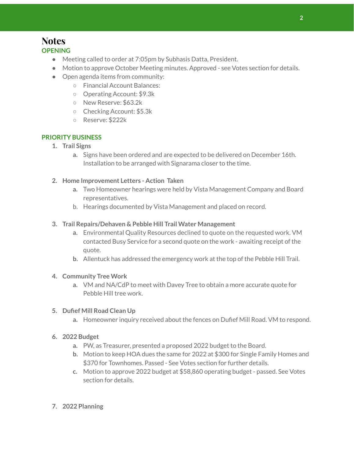#### **Notes OPENING**

- Meeting called to order at 7:05pm by Subhasis Datta, President.
- Motion to approve October Meeting minutes. Approved see Votes section for details.
- Open agenda items from community:
	- Financial Account Balances:
	- Operating Account: \$9.3k
	- New Reserve: \$63.2k
	- Checking Account: \$5.3k
	- Reserve: \$222k

#### **PRIORITY BUSINESS**

- **1. Trail Signs**
	- **a.** Signs have been ordered and are expected to be delivered on December 16th. Installation to be arranged with Signarama closer to the time.
- **2. Home Improvement Letters - Action Taken**
	- **a.** Two Homeowner hearings were held by Vista Management Company and Board representatives.
	- b. Hearings documented by Vista Management and placed on record.
- **3. Trail Repairs/Dehaven & Pebble Hill Trail Water Management**
	- **a.** Environmental Quality Resources declined to quote on the requested work. VM contacted Busy Service for a second quote on the work - awaiting receipt of the quote.
	- **b.** Allentuck has addressed the emergency work at the top of the Pebble Hill Trail.

#### **4. Community Tree Work**

**a.** VM and NA/CdP to meet with Davey Tree to obtain a more accurate quote for Pebble Hill tree work.

#### **5. Dufief Mill Road Clean Up**

- **a.** Homeowner inquiry received about the fences on Dufief Mill Road. VM to respond.
- **6. 2022 Budget**
	- **a.** PW, as Treasurer, presented a proposed 2022 budget to the Board.
	- **b.** Motion to keep HOA dues the same for 2022 at \$300 for Single Family Homes and \$370 for Townhomes. Passed - See Votes section for further details.
	- **c.** Motion to approve 2022 budget at \$58,860 operating budget passed. See Votes section for details.
- **7. 2022 Planning**